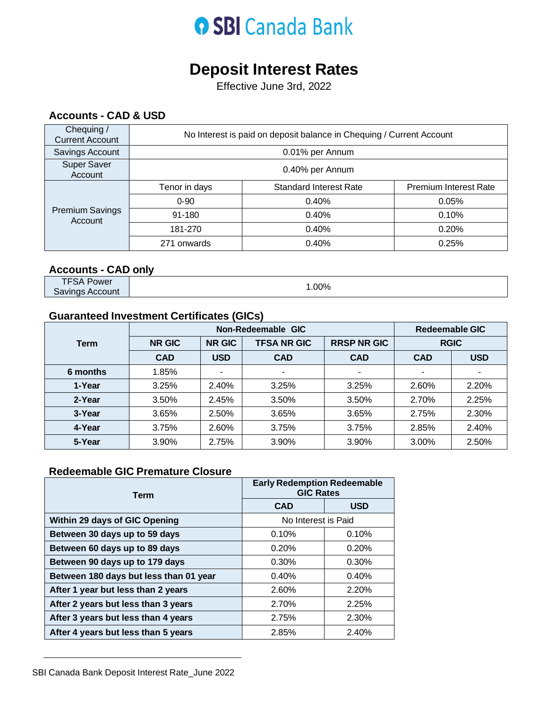## **O SBI Canada Bank**

### **Deposit Interest Rates**

Effective June 3rd, 2022

#### **Accounts - CAD & USD**

| Chequing /<br><b>Current Account</b> | No Interest is paid on deposit balance in Chequing / Current Account |                               |                              |  |
|--------------------------------------|----------------------------------------------------------------------|-------------------------------|------------------------------|--|
| Savings Account                      | 0.01% per Annum                                                      |                               |                              |  |
| <b>Super Saver</b><br>Account        | 0.40% per Annum                                                      |                               |                              |  |
| <b>Premium Savings</b><br>Account    | Tenor in days                                                        | <b>Standard Interest Rate</b> | <b>Premium Interest Rate</b> |  |
|                                      | $0 - 90$                                                             | 0.40%                         | 0.05%                        |  |
|                                      | 91-180                                                               | 0.40%                         | 0.10%                        |  |
|                                      | 181-270                                                              | 0.40%                         | 0.20%                        |  |
|                                      | 271 onwards                                                          | 0.40%                         | 0.25%                        |  |

#### **Accounts - CAD only**

TFSA Power Savings Account 2009

#### **Guaranteed Investment Certificates (GICs)**

|             | Non-Redeemable GIC                                   |                          |                          |             | <b>Redeemable GIC</b> |            |
|-------------|------------------------------------------------------|--------------------------|--------------------------|-------------|-----------------------|------------|
| <b>Term</b> | <b>NR GIC</b><br><b>TFSA NR GIC</b><br><b>NR GIC</b> |                          | <b>RRSP NR GIC</b>       | <b>RGIC</b> |                       |            |
|             | <b>CAD</b>                                           | <b>USD</b>               | <b>CAD</b>               | <b>CAD</b>  | <b>CAD</b>            | <b>USD</b> |
| 6 months    | 1.85%                                                | $\overline{\phantom{a}}$ | $\overline{\phantom{a}}$ |             |                       |            |
| 1-Year      | 3.25%                                                | 2.40%                    | 3.25%                    | 3.25%       | 2.60%                 | 2.20%      |
| 2-Year      | 3.50%                                                | 2.45%                    | 3.50%                    | 3.50%       | 2.70%                 | 2.25%      |
| 3-Year      | 3.65%                                                | 2.50%                    | 3.65%                    | 3.65%       | 2.75%                 | 2.30%      |
| 4-Year      | 3.75%                                                | 2.60%                    | 3.75%                    | 3.75%       | 2.85%                 | 2.40%      |
| 5-Year      | 3.90%                                                | 2.75%                    | 3.90%                    | 3.90%       | 3.00%                 | 2.50%      |

#### **Redeemable GIC Premature Closure**

| Term                                   | <b>Early Redemption Redeemable</b><br><b>GIC Rates</b> |            |  |
|----------------------------------------|--------------------------------------------------------|------------|--|
|                                        | <b>CAD</b>                                             | <b>USD</b> |  |
| Within 29 days of GIC Opening          | No Interest is Paid                                    |            |  |
| Between 30 days up to 59 days          | 0.10%                                                  | 0.10%      |  |
| Between 60 days up to 89 days          | 0.20%                                                  | 0.20%      |  |
| Between 90 days up to 179 days         | 0.30%                                                  | $0.30\%$   |  |
| Between 180 days but less than 01 year | 0.40%                                                  | 0.40%      |  |
| After 1 year but less than 2 years     | 2.60%                                                  | 2.20%      |  |
| After 2 years but less than 3 years    | 2.70%                                                  | 2.25%      |  |
| After 3 years but less than 4 years    | 2.75%                                                  | 2.30%      |  |
| After 4 years but less than 5 years    | 2.85%                                                  | 2.40%      |  |